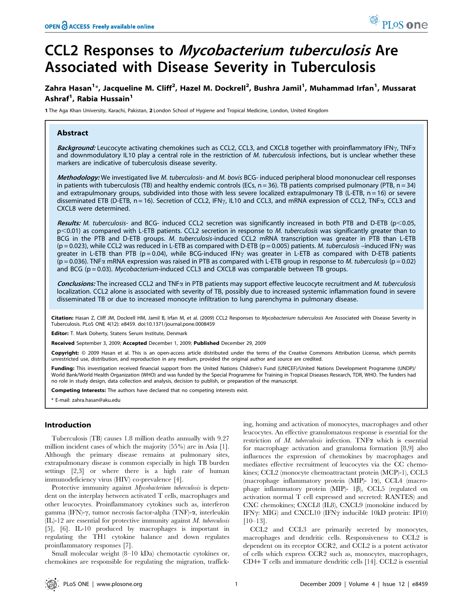# CCL2 Responses to Mycobacterium tuberculosis Are Associated with Disease Severity in Tuberculosis

## Zahra Hasan<sup>1</sup>\*, Jacqueline M. Cliff<sup>2</sup>, Hazel M. Dockrell<sup>2</sup>, Bushra Jamil<sup>1</sup>, Muhammad Irfan<sup>1</sup>, Mussarat Ashraf<sup>1</sup>, Rabia Hussain<sup>1</sup>

1 The Aga Khan University, Karachi, Pakistan, 2 London School of Hygiene and Tropical Medicine, London, United Kingdom

### Abstract

Background: Leucocyte activating chemokines such as CCL2, CCL3, and CXCL8 together with proinflammatory IFN $\gamma$ , TNF $\alpha$ and downmodulatory IL10 play a central role in the restriction of M. tuberculosis infections, but is unclear whether these markers are indicative of tuberculosis disease severity.

Methodology: We investigated live M. tuberculosis- and M. bovis BCG- induced peripheral blood mononuclear cell responses in patients with tuberculosis (TB) and healthy endemic controls (ECs,  $n = 36$ ). TB patients comprised pulmonary (PTB,  $n = 34$ ) and extrapulmonary groups, subdivided into those with less severe localized extrapulmonary TB (L-ETB,  $n = 16$ ) or severe disseminated ETB (D-ETB,  $n = 16$ ). Secretion of CCL2, IFN $\gamma$ , IL10 and CCL3, and mRNA expression of CCL2, TNF $\alpha$ , CCL3 and CXCL8 were determined.

Results: M. tuberculosis- and BCG- induced CCL2 secretion was significantly increased in both PTB and D-ETB ( $p<0.05$ ,  $p$ <0.01) as compared with L-ETB patients. CCL2 secretion in response to M. tuberculosis was significantly greater than to BCG in the PTB and D-ETB groups. M. tuberculosis-induced CCL2 mRNA transcription was greater in PTB than L-ETB  $(p = 0.023)$ , while CCL2 was reduced in L-ETB as compared with D-ETB ( $p = 0.005$ ) patients. *M. tuberculosis* –induced IFN $\gamma$  was greater in L-ETB than PTB ( $p = 0.04$ ), while BCG-induced IFN $\gamma$  was greater in L-ETB as compared with D-ETB patients  $(p = 0.036)$ . TNF $\alpha$  mRNA expression was raised in PTB as compared with L-ETB group in response to M. tuberculosis ( $p = 0.02$ ) and BCG ( $p = 0.03$ ). Mycobacterium-induced CCL3 and CXCL8 was comparable between TB groups.

Conclusions: The increased CCL2 and TNF $\alpha$  in PTB patients may support effective leucocyte recruitment and M. tuberculosis localization. CCL2 alone is associated with severity of TB, possibly due to increased systemic inflammation found in severe disseminated TB or due to increased monocyte infiltration to lung parenchyma in pulmonary disease.

Citation: Hasan Z, Cliff JM, Dockrell HM, Jamil B, Irfan M, et al. (2009) CCL2 Responses to Mycobacterium tuberculosis Are Associated with Disease Severity in Tuberculosis. PLoS ONE 4(12): e8459. doi:10.1371/journal.pone.0008459

Editor: T. Mark Doherty, Statens Serum Institute, Denmark

Received September 3, 2009; Accepted December 1, 2009; Published December 29, 2009

Copyright: @ 2009 Hasan et al. This is an open-access article distributed under the terms of the Creative Commons Attribution License, which permits unrestricted use, distribution, and reproduction in any medium, provided the original author and source are credited.

Funding: This investigation received financial support from the United Nations Children's Fund (UNICEF)/United Nations Development Programme (UNDP)/ World Bank/World Health Organization (WHO) and was funded by the Special Programme for Training in Tropical Diseases Research, TDR, WHO. The funders had no role in study design, data collection and analysis, decision to publish, or preparation of the manuscript.

Competing Interests: The authors have declared that no competing interests exist.

\* E-mail: zahra.hasan@aku.edu

#### Introduction

Tuberculosis (TB) causes 1.8 million deaths annually with 9.27 million incident cases of which the majority (55%) are in Asia [1]. Although the primary disease remains at pulmonary sites, extrapulmonary disease is common especially in high TB burden settings [2,3] or where there is a high rate of human immunodeficiency virus (HIV) co-prevalence [4].

Protective immunity against *Mycobacterium tuberculosis* is dependent on the interplay between activated T cells, macrophages and other leucocytes. Proinflammatory cytokines such as, interferon gamma (IFN)- $\gamma$ , tumor necrosis factor-alpha (TNF)- $\alpha$ , interleukin (IL)-12 are essential for protective immunity against M. tuberculosis [5], [6]. IL-10 produced by macrophages is important in regulating the TH1 cytokine balance and down regulates proinflammatory responses [7].

Small molecular weight (8–10 kDa) chemotactic cytokines or, chemokines are responsible for regulating the migration, trafficking, homing and activation of monocytes, macrophages and other leucocytes. An effective granulomatous response is essential for the restriction of  $M$ . tuberculosis infection. TNF $\alpha$  which is essential for macrophage activation and granuloma formation [8,9] also influences the expression of chemokines by macrophages and mediates effective recruitment of leucocytes via the CC chemokines; CCL2 (monocyte chemoattractant protein (MCP)-1), CCL3 (macrophage inflammatory protein (MIP)-  $1\alpha$ ), CCL4 (macrophage inflammatory protein (MIP)-  $1\beta$ ), CCL5 (regulated on activation normal T cell expressed and secreted: RANTES) and CXC chemokines; CXCL8 (IL8), CXCL9 (monokine induced by IFN $\gamma$ : MIG) and CXCL10 (IFN $\gamma$  inducible 10kD protein: IP10) [10–13].

CCL2 and CCL3 are primarily secreted by monocytes, macrophages and dendritic cells. Responsiveness to CCL2 is dependent on its receptor CCR2, and CCL2 is a potent activator of cells which express CCR2 such as, monocytes, macrophages, CD4+ T cells and immature dendritic cells [14]. CCL2 is essential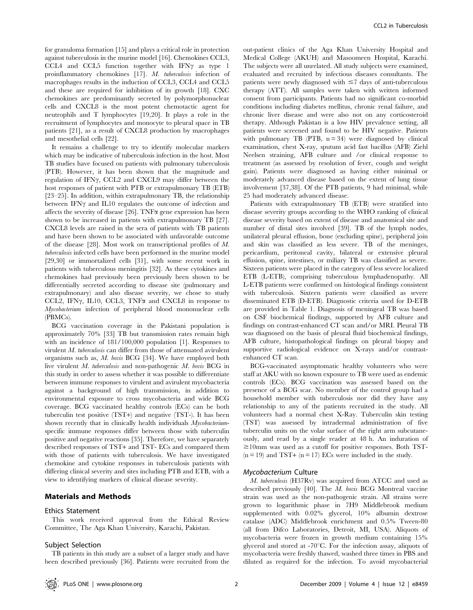for granuloma formation [15] and plays a critical role in protection against tuberculosis in the murine model [16]. Chemokines CCL3, CCL4 and CCL5 function together with IFN $\gamma$  as type 1 proinflammatory chemokines [17]. M. tuberculosis infection of macrophages results in the induction of CCL3, CCL4 and CCL5 and these are required for inhibition of its growth [18]. CXC chemokines are predominantly secreted by polymorphonuclear cells and CXCL8 is the most potent chemotactic agent for neutrophils and T lymphocytes [19,20]. It plays a role in the recruitment of lymphocytes and monocyte to pleural space in TB patients [21], as a result of CXCL8 production by macrophages and mesothelial cells [22].

It remains a challenge to try to identify molecular markers which may be indicative of tuberculosis infection in the host. Most TB studies have focused on patients with pulmonary tuberculosis (PTB). However, it has been shown that the magnitude and regulation of IFN $\gamma$ , CCL2 and CXCL9 may differ between the host responses of patient with PTB or extrapulmonary TB (ETB) [23–25]. In addition, within extrapulmonary TB, the relationship between IFN $\gamma$  and IL10 regulates the outcome of infection and affects the severity of disease [26]. TNF $\alpha$  gene expression has been shown to be increased in patients with extrapulmonary TB [27]. CXCL8 levels are raised in the sera of patients with TB patients and have been shown to be associated with unfavorable outcome of the disease [28]. Most work on transcriptional profiles of M. tuberculosis infected cells have been performed in the murine model [29,30] or immortalized cells [31], with some recent work in patients with tuberculous meningitis [32]. As these cytokines and chemokines had previously been previously been shown to be differentially secreted according to disease site (pulmonary and extrapulmonary) and also disease severity, we chose to study CCL2, IFN $\gamma$ , IL10, CCL3, TNF $\alpha$  and CXCL8 in response to Mycobacterium infection of peripheral blood mononuclear cells (PBMCs).

BCG vaccination coverage in the Pakistani population is approximately 70% [33] TB but transmission rates remain high with an incidence of 181/100,000 population [1]. Responses to virulent M. tuberculosis can differ from those of attenuated avirulent organisms such as, M. bovis BCG [34]. We have employed both live virulent M. tuberculosis and non-pathogenic M. bovis BCG in this study in order to assess whether it was possible to differentiate between immune responses to virulent and avirulent mycobacteria against a background of high transmission, in addition to environmental exposure to cross mycobacteria and wide BCG coverage. BCG vaccinated healthy controls (ECs) can be both tuberculin test positive (TST+) and negative (TST-). It has been shown recently that in clinically health individuals *Mycobacterium*specific immune responses differ between those with tuberculin positive and negative reactions [35]. Therefore, we have separately described responses of TST+ and TST- ECs and compared them with those of patients with tuberculosis. We have investigated chemokine and cytokine responses in tuberculosis patients with differing clinical severity and sites including PTB and ETB, with a view to identifying markers of clinical disease severity.

### Materials and Methods

#### Ethics Statement

This work received approval from the Ethical Review Committee, The Aga Khan University, Karachi, Pakistan.

#### Subject Selection

TB patients in this study are a subset of a larger study and have been described previously [36]. Patients were recruited from the out-patient clinics of the Aga Khan University Hospital and Medical College (AKUH) and Masoomeen Hospital, Karachi. The subjects were all unrelated. All study subjects were examined, evaluated and recruited by infectious diseases consultants. The patients were newly diagnosed with  $\leq$  days of anti-tuberculous therapy (ATT). All samples were taken with written informed consent from participants. Patients had no significant co-morbid conditions including diabetes mellitus, chronic renal failure, and chronic liver disease and were also not on any corticosteroid therapy. Although Pakistan is a low HIV prevalence setting, all patients were screened and found to be HIV negative. Patients with pulmonary TB (PTB,  $n = 34$ ) were diagnosed by clinical examination, chest X-ray, sputum acid fast bacillus (AFB) Ziehl Neelsen straining, AFB culture and /or clinical response to treatment (as assessed by resolution of fever, cough and weight gain). Patients were diagnosed as having either minimal or moderately advanced disease based on the extent of lung tissue involvement [37,38]. Of the PTB patients, 9 had minimal, while 25 had moderately advanced disease.

Patients with extrapulmonary TB (ETB) were stratified into disease severity groups according to the WHO ranking of clinical disease severity based on extent of disease and anatomical site and number of distal sites involved [39]. TB of the lymph nodes, unilateral pleural effusion, bone (excluding spine), peripheral join and skin was classified as less severe. TB of the meninges, pericardium, peritoneal cavity, bilateral or extensive pleural effusion, spine, intestines, or miliary TB was classified as severe. Sixteen patients were placed in the category of less severe localized ETB (L-ETB), comprising tuberculous lymphadenopathy. All L-ETB patients were confirmed on histological findings consistent with tuberculosis. Sixteen patients were classified as severe disseminated ETB (D-ETB). Diagnostic criteria used for D-ETB are provided in Table 1. Diagnosis of meningeal TB was based on CSF biochemical findings, supported by AFB culture and findings on contrast-enhanced CT scan and/or MRI. Pleural TB was diagnosed on the basis of pleural fluid biochemical findings, AFB culture, histopathological findings on pleural biopsy and supportive radiological evidence on X-rays and/or contrastenhanced CT scan.

BCG-vaccinated asymptomatic healthy volunteers who were staff at AKU with no known exposure to TB were used as endemic controls (ECs). BCG vaccination was assessed based on the presence of a BCG scar. No member of the control group had a household member with tuberculosis nor did they have any relationship to any of the patients recruited in the study. All volunteers had a normal chest X-Ray. Tuberculin skin testing (TST) was assessed by intradermal administration of five tuberculin units on the volar surface of the right arm subcutaneously, and read by a single reader at 48 h. An induration of  $\geq 10$ mm was used as a cutoff for positive responses. Both TST- $(n = 19)$  and TST+  $(n = 17)$  ECs were included in the study.

#### Mycobacterium Culture

M. tuberculosis (H37Rv) was acquired from ATCC and used as described previously [40]. The M. bovis BCG Montreal vaccine strain was used as the non-pathogenic strain. All strains were grown to logarithmic phase in 7H9 Middlebrook medium supplemented with 0.02% glycerol, 10% albumin dextrose catalase (ADC) Middlebrook enrichment and 0.5% Tween-80 (all from Difco Laboratories, Detroit, MI, USA). Aliquots of mycobacteria were frozen in growth medium containing 15% glycerol and stored at  $-70^{\circ}$ C. For the infection assay, aliquots of mycobacteria were freshly thawed, washed three times in PBS and diluted as required for the infection. To avoid mycobacterial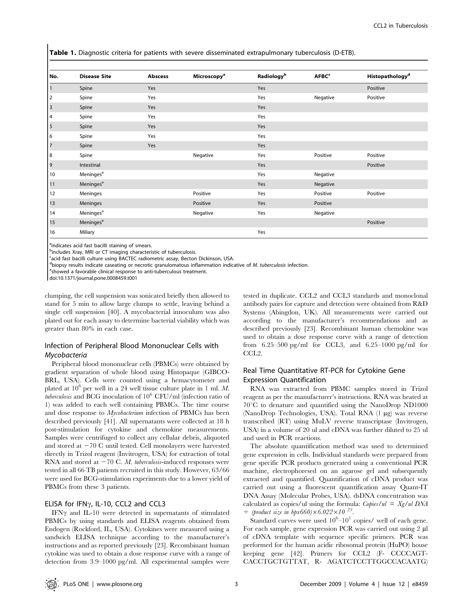Table 1. Diagnostic criteria for patients with severe disseminated extrapulmonary tuberculosis (D-ETB).

| No.                  | <b>Disease Site</b>   | <b>Abscess</b> | Microscopy <sup>a</sup> | Radiology <sup>b</sup> | AFBC <sup>c</sup> | Histopathology <sup>d</sup> |
|----------------------|-----------------------|----------------|-------------------------|------------------------|-------------------|-----------------------------|
| $\vert$ <sup>1</sup> | Spine                 | Yes            |                         | Yes                    |                   | Positive                    |
| $\vert$ <sub>2</sub> | Spine                 | Yes            |                         | Yes                    | Negative          | Positive                    |
| $\vert$ <sub>3</sub> | Spine                 | Yes            |                         | Yes                    |                   |                             |
| $\vert$ 4            | Spine                 | Yes            |                         | Yes                    |                   |                             |
| $\vert$ 5            | Spine                 | Yes            |                         | Yes                    |                   |                             |
| 6                    | Spine                 | Yes            |                         | Yes                    |                   |                             |
| $\vert$ 7            | Spine                 | Yes            |                         | Yes                    |                   |                             |
| 8                    | Spine                 |                | Negative                | Yes                    | Positive          | Positive                    |
| $\vert$ 9            | Intestinal            |                |                         | Yes                    |                   | Positive                    |
| 10                   | Meninges <sup>e</sup> |                |                         | Yes                    | Negative          |                             |
| 11                   | Meninges <sup>e</sup> |                |                         | Yes                    | Negative          |                             |
| 12                   | Meninges              |                | Positive                | Yes                    | Positive          | Positive                    |
| 13                   | Meninges              |                | Positive                | Yes                    | Positive          |                             |
| 14                   | Meninges <sup>e</sup> |                | Negative                | Yes                    | Negative          |                             |
| 15                   | Meninges <sup>e</sup> |                |                         |                        |                   | Positive                    |
| 16                   | Miliary               |                |                         | Yes                    |                   |                             |

<sup>a</sup>indicates acid fast bacilli staining of smears.

<sup>b</sup>includes Xray, MRI or CT imaging characteristic of tuberculosis.

<sup>c</sup>acid fast bacilli culture using BACTEC radiometric assay, Becton Dickinson, USA.

dbiopsy results indicate caseating or necrotic granulomatous inflammation indicative of M. tuberculosis infection.<br>Esboured a favorable clinical response to anti-tuberculous transport.

eshowed a favorable clinical response to anti-tuberculous treatment.

doi:10.1371/journal.pone.0008459.t001

clumping, the cell suspension was sonicated briefly then allowed to stand for 5 min to allow large clumps to settle, leaving behind a single cell suspension [40]. A mycobacterial innoculum was also plated out for each assay to determine bacterial viability which was greater than 80% in each case.

## Infection of Peripheral Blood Mononuclear Cells with Mycobacteria

Peripheral blood mononuclear cells (PBMCs) were obtained by gradient separation of whole blood using Histopaque (GIBCO-BRL, USA). Cells were counted using a hemacytometer and plated at  $10^6$  per well in a 24 well tissue culture plate in 1 ml. M. tuberculosis and BCG inoculation of  $10^6$  CFU/ml (infection ratio of 1) was added to each well containing PBMCs. The time course and dose response to Mycobacterium infection of PBMCs has been described previously [41]. All supernatants were collected at 18 h post-stimulation for cytokine and chemokine measurements. Samples were centrifuged to collect any cellular debris, aliquoted and stored at  $-70$  C until tested. Cell monolayers were harvested directly in Trizol reagent (Invitrogen, USA) for extraction of total RNA and stored at  $-70$  C. M. tuberculosis-induced responses were tested in all 66 TB patients recruited in this study. However, 63/66 were used for BCG-stimulation experiments due to a lower yield of PBMCs from these 3 patients.

#### ELISA for IFN $\gamma$ , IL-10, CCL2 and CCL3

IFN $\gamma$  and IL-10 were detected in supernatants of stimulated PBMCs by using standards and ELISA reagents obtained from Endogen (Rockford, IL, USA). Cytokines were measured using a sandwich ELISA technique according to the manufacturer's instructions and as reported previously [23]. Recombinant human cytokine was used to obtain a dose response curve with a range of detection from 3.9–1000 pg/ml. All experimental samples were

tested in duplicate. CCL2 and CCL3 standards and monoclonal antibody pairs for capture and detection were obtained from R&D Systems (Abingdon, UK). All measurements were carried out according to the manufacturer's recommendations and as described previously [23]. Recombinant human chemokine was used to obtain a dose response curve with a range of detection from 6.25–500 pg/ml for CCL3, and 6.25–1000 pg/ml for CCL<sub>2</sub>.

## Real Time Quantitative RT-PCR for Cytokine Gene Expression Quantification

RNA was extracted from PBMC samples stored in Trizol reagent as per the manufacturer's instructions. RNA was heated at  $70^{\circ}$ C to denature and quantified using the NanoDrop ND1000 (NanoDrop Technologies, USA). Total RNA (1 mg) was reverse transcribed (RT) using MuLV reverse transcriptase (Invitrogen, USA) in a volume of 20 ul and cDNA was further diluted to 25 ul and used in PCR reactions.

The absolute quantification method was used to determined gene expression in cells. Individual standards were prepared from gene specific PCR products generated using a conventional PCR machine, electrophoresed on an agarose gel and subsequently extracted and quantified. Quantification of cDNA product was carried out using a fluorescent quantification assay Quant-IT DNA Assay (Molecular Probes, USA). dsDNA concentration was calculated as copies/ul using the formula: Copies/ul =  $Xg/ul$  DNA  $\div$  (product size in bpx660)×6.022×10<sup>23</sup>.

Standard curves were used  $10^6$ - $10^1$  copies/ well of each gene. For each sample, gene expression PCR was carried out using 2 µl of cDNA template with sequence specific primers. PCR was performed for the human acidic ribosomal protein (HuPO) house keeping gene [42]. Primers for CCL2 (F- CCCCAGT-CACCTGCTGTTAT, R- AGATCTCCTTGGCCACAATG)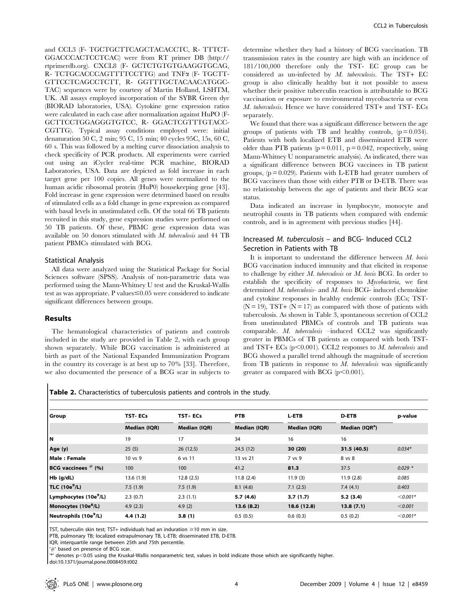and CCL3 (F- TGCTGCTTCAGCTACACCTC, R- TTTCT-GGACCCACTCCTCAC) were from RT primer DB (http:// rtprimerdb.org). CXCL8 (F- GCTCTGTGTGAAGGTGCAG, R- TCTGCACCCAGTTTTCCTTG) and TNFa (F- TGCTT-GTTCCTCAGCCTCTT, R- GGTTTGCTACAACATGGC-TAC) sequences were by courtesy of Martin Holland, LSHTM, UK. All assays employed incorporation of the SYBR Green dye (BIORAD laboratories, USA). Cytokine gene expression ratios were calculated in each case after normalization against HuPO (F-GCTTCCTGGAGGGTGTCC, R- GGACTCGTTTGTACC-CGTTG). Typical assay conditions employed were: initial denaturation 50 C, 2 min; 95 C, 15 min; 40 cycles 95C, 15s, 60 C, 60 s. This was followed by a melting curve dissociation analysis to check specificity of PCR products. All experiments were carried out using an iCycler real-time PCR machine, BIORAD Laboratories, USA. Data are depicted as fold increase in each target gene per 100 copies. All genes were normalized to the human acidic ribosomal protein (HuP0) housekeeping gene [43]. Fold increase in gene expression were determined based on results of stimulated cells as a fold change in gene expression as compared with basal levels in unstimulated cells. Of the total 66 TB patients recruited in this study, gene expression studies were performed on 50 TB patients. Of these, PBMC gene expression data was available on 50 donors stimulated with M. tuberculosis and 44 TB patient PBMCs stimulated with BCG.

#### Statistical Analysis

All data were analyzed using the Statistical Package for Social Sciences software (SPSS). Analysis of non-parametric data was performed using the Mann-Whitney U test and the Kruskal-Wallis test as was appropriate. P values  $\leq 0.05$  were considered to indicate significant differences between groups.

#### Results

The hematological characteristics of patients and controls included in the study are provided in Table 2, with each group shown separately. While BCG vaccination is administered at birth as part of the National Expanded Immunization Program in the country its coverage is at best up to 70% [33]. Therefore, we also documented the presence of a BCG scar in subjects to determine whether they had a history of BCG vaccination. TB transmission rates in the country are high with an incidence of 181/100,000 therefore only the TST- EC group can be considered as un-infected by M. tuberculosis. The TST+ EC group is also clinically healthy but it not possible to assess whether their positive tuberculin reaction is attributable to BCG vaccination or exposure to environmental mycobacteria or even M. tuberculosis. Hence we have considered TST+ and TST- ECs separately.

We found that there was a significant difference between the age groups of patients with TB and healthy controls,  $(p = 0.034)$ . Patients with both localized ETB and disseminated ETB were older than PTB patients ( $p = 0.011$ ,  $p = 0.042$ , respectively, using Mann-Whitney U nonparametric analysis). As indicated, there was a significant difference between BCG vaccinees in TB patient groups,  $(p = 0.029)$ . Patients with L-ETB had greater numbers of BCG vaccinees than those with either PTB or D-ETB. There was no relationship between the age of patients and their BCG scar status.

Data indicated an increase in lymphocyte, monocyte and neutrophil counts in TB patients when compared with endemic controls, and is in agreement with previous studies [44].

## Increased M. tuberculosis – and BCG- Induced CCL2 Secretion in Patients with TB

It is important to understand the difference between  $M$ . bovis BCG vaccination induced immunity and that elicited in response to challenge by either M. tuberculosis or M. bovis BCG. In order to establish the specificity of responses to Mycobacteria, we first determined M. tuberculosis- and M. bovis BCG- induced chemokine and cytokine responses in healthy endemic controls (ECs; TST-  $(N = 19)$ , TST+  $(N = 17)$  as compared with those of patients with tuberculosis. As shown in Table 3, spontaneous secretion of CCL2 from unstimulated PBMCs of controls and TB patients was comparable. M. tuberculosis –induced CCL2 was significantly greater in PBMCs of TB patients as compared with both TSTand TST+ ECs ( $p<0.001$ ). CCL2 responses to M. tuberculosis and BCG showed a parallel trend although the magnitude of secretion from TB patients in response to  $M$ . tuberculosis was significantly greater as compared with BCG  $(p<0.001)$ .

Table 2. Characteristics of tuberculosis patients and controls in the study.

| Group                             | <b>TST-ECs</b>      | $TST + ECs$         | <b>PTB</b>   | L-ETB        | <b>D-ETB</b>               | p-value    |
|-----------------------------------|---------------------|---------------------|--------------|--------------|----------------------------|------------|
|                                   | <b>Median (IQR)</b> | <b>Median (IQR)</b> | Median (IQR) | Median (IQR) | Median (IQR <sup>a</sup> ) |            |
| IN                                | 19                  | 17                  | 34           | 16           | 16                         |            |
| Age (y)                           | 25(5)               | 26(12.5)            | 24.5(12)     | 30(20)       | 31.5(40.5)                 | $0.034*$   |
| l Male : Female                   | 10 vs 9             | 6 vs 11             | 13 vs 21     | 7 vs 9       | 8 vs 8                     |            |
| BCG vaccinees $#$ (%)             | 100                 | 100                 | 41.2         | 81.3         | 37.5                       | $0.029*$   |
| $Hb$ (g/dL)                       | 13.6(1.9)           | 12.8(2.5)           | 11.8(2.4)    | 11.9(3)      | 11.9(2.8)                  | 0.085      |
| TLC $(10e^9/L)$                   | 7.5(1.9)            | 7.5(1.9)            | 8.1(4.6)     | 7.1(2.5)     | 7.4(4.1)                   | 0.403      |
| Lymphocytes (10e <sup>9</sup> /L) | 2.3(0.7)            | 2.3(1.1)            | 5.7(4.6)     | 3.7(1.7)     | 5.2(3.4)                   | $< 0.001*$ |
| Monocytes (10e <sup>8</sup> /L)   | 4.9(2.3)            | 4.9(2)              | 13.6(8.2)    | 18.6 (12.8)  | 13.8(7.1)                  | < 0.001    |
| Neutrophils (10e <sup>9</sup> /L) | 4.4(1.2)            | 3.8(1)              | 0.5(0.5)     | 0.6(0.3)     | 0.5(0.2)                   | $< 0.001*$ |

TST, tuberculin skin test; TST+ individuals had an induration  $\geq$ 10 mm in size.

PTB, pulmonary TB; localized extrapulmonary TB, L-ETB; disseminated ETB, D-ETB.

IQR, interquartile range between 25th and 75th percentile.

'*#*' based on presence of BCG scar.

 $*$  denotes p $<$ 0.05 using the Kruskal-Wallis nonparametric test, values in bold indicate those which are significantly higher.

doi:10.1371/journal.pone.0008459.t002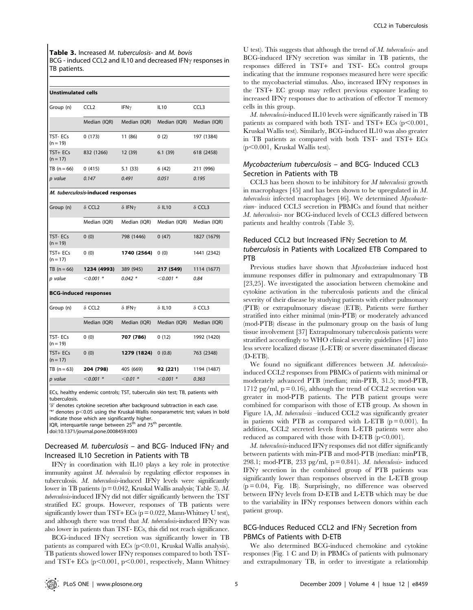Table 3. Increased M. tuberculosis- and M. bovis BCG - induced CCL2 and IL10 and decreased IFN $\gamma$  responses in TB patients.

| <b>Unstimulated cells</b>         |                              |                       |               |                  |  |  |  |  |
|-----------------------------------|------------------------------|-----------------------|---------------|------------------|--|--|--|--|
| Group (n)                         | CCL <sub>2</sub>             | IFN $\gamma$          | <b>IL10</b>   | CCL <sub>3</sub> |  |  |  |  |
|                                   | Median (IQR)                 | Median (IQR)          | Median (IQR)  | Median (IQR)     |  |  |  |  |
| TST-ECs<br>$(n = 19)$             | 0(173)                       | 11 (86)               | 0(2)          | 197 (1384)       |  |  |  |  |
| TST+ ECs<br>$(n = 17)$            | 832 (1266)                   | 12 (39)               | 6.1(39)       | 618 (2458)       |  |  |  |  |
| TB $(n = 66)$                     | 0(415)                       | 5.1(33)               | 6 (42)        | 211 (996)        |  |  |  |  |
| p value                           | 0.147                        | 0.491                 | 0.051         | 0.195            |  |  |  |  |
| M. tuberculosis-induced responses |                              |                       |               |                  |  |  |  |  |
| Group (n)                         | $\delta$ CCL <sub>2</sub>    | $\delta$ IFN $\gamma$ | $\delta$ IL10 | $\delta$ CCL3    |  |  |  |  |
|                                   | Median (IQR)                 | Median (IQR)          | Median (IQR)  | Median (IQR)     |  |  |  |  |
| TST-ECs<br>$(n = 19)$             | 0(0)                         | 798 (1446)            | 0(47)         | 1827 (1679)      |  |  |  |  |
| TST+ ECs<br>$(n = 17)$            | 0(0)                         | 1740 (2564)           | 0(0)          | 1441 (2342)      |  |  |  |  |
| TB $(n = 66)$                     | 1234 (4993)                  | 389 (945)             | 217 (549)     | 1114 (1677)      |  |  |  |  |
| p value                           | $< 0.001$ *                  | $0.042*$              | $<$ 0.001 $*$ | 0.84             |  |  |  |  |
|                                   | <b>BCG-induced responses</b> |                       |               |                  |  |  |  |  |
| Group (n)                         | $\delta$ CCL <sub>2</sub>    | $\delta$ IFN $\gamma$ | $\delta$ IL10 | $\delta$ CCL3    |  |  |  |  |
|                                   | Median (IQR)                 | Median (IQR)          | Median (IQR)  | Median (IQR)     |  |  |  |  |
| TST-ECs<br>$(n = 19)$             | 0(0)                         | 707 (786)             | 0(12)         | 1992 (1420)      |  |  |  |  |
| TST+ ECs<br>$(n = 17)$            | 0(0)                         | 1279 (1824)           | 0(0.8)        | 763 (2348)       |  |  |  |  |
| $TB (n = 63)$                     | 204 (798)                    | 405 (669)             | 92 (221)      | 1194 (1487)      |  |  |  |  |
| p value                           | $< 0.001$ *                  | $< 0.01$ *            | $<$ 0.001 $*$ | 0.363            |  |  |  |  |

ECs, healthy endemic controls; TST, tuberculin skin test; TB, patients with tuberculosis.

'd' denotes cytokine secretion after background subtraction in each case.  $'$ \*' denotes p<0.05 using the Kruskal-Wallis nonparametric test; values in bold

indicate those which are significantly higher

IQR, interquartile range between 25<sup>th</sup> and 75<sup>th</sup> percentile.

doi:10.1371/journal.pone.0008459.t003

## Decreased M. tuberculosis – and BCG- Induced IFN $\gamma$  and Increased IL10 Secretion in Patients with TB

IFN $\gamma$  in coordination with IL10 plays a key role in protective immunity against M. tuberculosis by regulating effector responses in tuberculosis.  $M$ . tuberculosis-induced IFN $\gamma$  levels were significantly lower in TB patients ( $p = 0.042$ , Kruskal Wallis analysis; Table 3). M.  $$ stratified EC groups. However, responses of TB patients were significantly lower than TST+ ECs ( $p = 0.022$ , Mann-Whitney U test), and although there was trend that  $M$ . tuberculosis-induced IFN $\gamma$  was also lower in patients than TST- ECs, this did not reach significance.

BCG-induced IFN $\gamma$  secretion was significantly lower in TB patients as compared with ECs  $(p<0.01$ , Kruskal Wallis analysis). TB patients showed lower IFN $\gamma$  responses compared to both TSTand TST+ ECs  $(p<0.001, p<0.001,$  respectively, Mann Whitney

U test). This suggests that although the trend of  $M$ . tuberculosis- and  $BCG$ -induced IFN $\gamma$  secretion was similar in TB patients, the responses differed in TST+ and TST- ECs control groups indicating that the immune responses measured here were specific to the mycobacterial stimulus. Also, increased IFN $\gamma$  responses in the TST+ EC group may reflect previous exposure leading to increased IFN $\gamma$  responses due to activation of effector T memory cells in this group.

M. tuberculosis-induced IL10 levels were significantly raised in TB patients as compared with both TST- and TST+ ECs  $(p<0.001$ , Kruskal Wallis test). Similarly, BCG-induced IL10 was also greater in TB patients as compared with both TST- and TST+ ECs  $(p<0.001$ , Kruskal Wallis test).

## Mycobacterium tuberculosis – and BCG- Induced CCL3 Secretion in Patients with TB

CCL3 has been shown to be inhibitory for M tuberculosis growth in macrophages [45] and has been shown to be upregulated in M. tuberculosis infected macrophages [46]. We determined Mycobacterium- induced CCL3 secretion in PBMCs and found that neither M. tuberculosis- nor BCG-induced levels of CCL3 differed between patients and healthy controls (Table 3).

## Reduced CCL2 but Increased IFN $\gamma$  Secretion to M. tuberculosis in Patients with Localized ETB Compared to PTB

Previous studies have shown that *Mycobacterium* induced host immune responses differ in pulmonary and extrapulmonary TB [23,25]. We investigated the association between chemokine and cytokine activation in the tuberculosis patients and the clinical severity of their disease by studying patients with either pulmonary (PTB) or extrapulmonary disease (ETB). Patients were further stratified into either minimal (min-PTB) or moderately advanced (mod-PTB) disease in the pulmonary group on the basis of lung tissue involvement [37] Extrapulmonary tuberculosis patients were stratified accordingly to WHO clinical severity guidelines [47] into less severe localized disease (L-ETB) or severe disseminated disease (D-ETB).

We found no significant differences between M. tuberculosisinduced CCL2 responses from PBMCs of patients with minimal or moderately advanced PTB (median; min-PTB, 31.5; mod-PTB, 1712 pg/ml,  $p = 0.16$ ), although the trend of CCL2 secretion was greater in mod-PTB patients. The PTB patient groups were combined for comparison with those of ETB group. As shown in Figure 1A, M. tuberculosis –induced CCL2 was significantly greater in patients with PTB as compared with L-ETB  $(p = 0.001)$ . In addition, CCL2 secreted levels from L-ETB patients were also reduced as compared with those with D-ETB  $(p<0.001)$ .

 $M.$  tuberculosis-induced IFN $\gamma$  responses did not differ significantly between patients with min-PTB and mod-PTB (median: minPTB, 298.1; mod-PTB, 233 pg/ml,  $p = 0.841$ ). M. tuberculosis- induced IFN $\gamma$  secretion in the combined group of PTB patients was significantly lower than responses observed in the L-ETB group  $(p = 0.04,$  Fig. 1B). Surprisingly, no difference was observed between IFN $\gamma$  levels from D-ETB and L-ETB which may be due to the variability in  $IFN\gamma$  responses between donors within each patient group.

## BCG-Induces Reduced CCL2 and  $IFN\gamma$  Secretion from PBMCs of Patients with D-ETB

We also determined BCG-induced chemokine and cytokine responses (Fig. 1 C and D) in PBMCs of patients with pulmonary and extrapulmonary TB, in order to investigate a relationship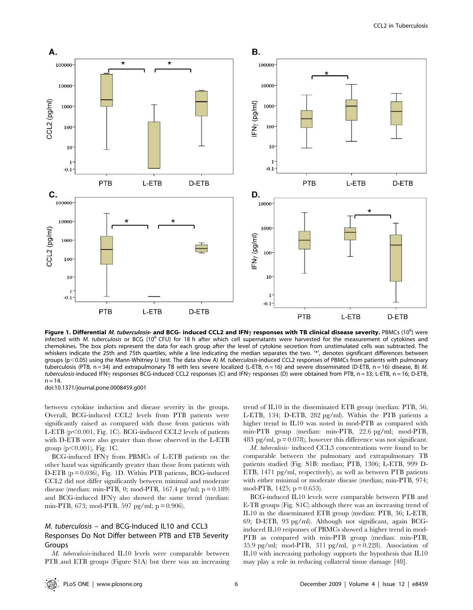

Figure 1. Differential *M. tuberculosis*- and BCG- induced CCL2 and IFN<sub>Y</sub> responses with TB clinical disease severity. PBMCs (10<sup>6</sup>) were infected with M. tuberculosis or BCG (10<sup>6</sup> CFU) for 18 h after which cell supernatants were harvested for the measurement of cytokines and chemokines. The box plots represent the data for each group after the level of cytokine secretion from unstimulated cells was subtracted. The whiskers indicate the 25th and 75th quartiles, while a line indicating the median separates the two. "\*', denotes significant differences between groups (p<0.05) using the Mann-Whitney U test. The data show A) M. tuberculosis-induced CCL2 responses of PBMCs from patients with pulmonary tuberculosis (PTB, n = 34) and extrapulmonary TB with less severe localized (L-ETB, n = 16) and severe disseminated (D-ETB, n = 16) disease, B) M. tuberculosis-induced IFN<sub>Y</sub> responses BCG-induced CCL2 responses (C) and IFN<sub>Y</sub> responses (D) were obtained from PTB, n = 33; L-ETB, n = 16; D-ETB,  $n = 14.$ 

doi:10.1371/journal.pone.0008459.g001

between cytokine induction and disease severity in the groups. Overall, BCG-induced CCL2 levels from PTB patients were significantly raised as compared with those from patients with L-ETB ( $p$ <0.001, Fig. 1C). BCG-induced CCL2 levels of patients with D-ETB were also greater than those observed in the L-ETB group ( $p<0.001$ ), Fig. 1C.

BCG-induced IFN $\gamma$  from PBMCs of L-ETB patients on the other hand was significantly greater than those from patients with D-ETB  $(p = 0.036)$ , Fig. 1D. Within PTB patients, BCG-induced CCL2 did not differ significantly between minimal and moderate disease (median: min-PTB, 0; mod-PTB, 167.4 pg/ml;  $p = 0.189$ ) and BCG-induced IFN $\gamma$  also showed the same trend (median: min-PTB, 673; mod-PTB, 597 pg/ml;  $p = 0.906$ ).

## M. tuberculosis – and BCG-Induced IL10 and CCL3 Responses Do Not Differ between PTB and ETB Severity Groups

M. tuberculosis-induced IL10 levels were comparable between PTB and ETB groups (Figure S1A) but there was an increasing trend of IL10 in the disseminated ETB group (median: PTB, 56; L-ETB, 134; D-ETB, 282 pg/ml). Within the PTB patients a higher trend in IL10 was noted in mod-PTB as compared with min-PTB group (median: min-PTB, 22.6 pg/ml; mod-PTB, 483 pg/ml,  $p = 0.078$ ), however this difference was not significant.

M. tuberculosis- induced CCL3 concentrations were found to be comparable between the pulmonary and extrapulmonary TB patients studied (Fig. S1B: median; PTB, 1306; L-ETB, 999 D-ETB, 1471 pg/ml, respectively), as well as between PTB patients with either minimal or moderate disease (median; min-PTB, 974; mod-PTB, 1425;  $p = 0.653$ ).

BCG-induced IL10 levels were comparable between PTB and E-TB groups (Fig. S1C) although there was an increasing trend of IL10 in the disseminated ETB group (median: PTB, 36; L-ETB, 69; D-ETB, 93 pg/ml). Although not significant, again BCGinduced IL10 responses of PBMCs showed a higher trend in mod-PTB as compared with min-PTB group (median: min-PTB, 35.9 pg/ml; mod-PTB, 311 pg/ml,  $p = 0.228$ ). Association of IL10 with increasing pathology supports the hypothesis that IL10 may play a role in reducing collateral tissue damage [48].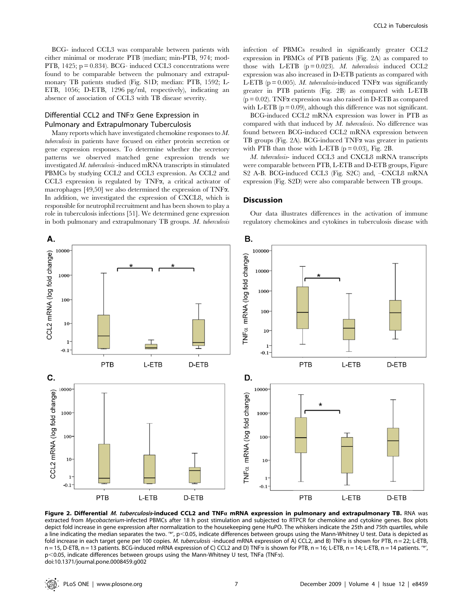BCG- induced CCL3 was comparable between patients with either minimal or moderate PTB (median; min-PTB, 974; mod-PTB, 1425;  $p = 0.834$ ). BCG- induced CCL3 concentrations were found to be comparable between the pulmonary and extrapulmonary TB patients studied (Fig. S1D; median: PTB, 1592; L-ETB, 1056; D-ETB, 1296 pg/ml, respectively), indicating an absence of association of CCL3 with TB disease severity.

## Differential CCL2 and  $TNF\alpha$  Gene Expression in Pulmonary and Extrapulmonary Tuberculosis

Many reports which have investigated chemokine responses to M. tuberculosis in patients have focused on either protein secretion or gene expression responses. To determine whether the secretory patterns we observed matched gene expression trends we investigated M. tuberculosis -induced mRNA transcripts in stimulated PBMCs by studying CCL2 and CCL3 expression. As CCL2 and CCL3 expression is regulated by TNF $\alpha$ , a critical activator of macrophages [49,50] we also determined the expression of TNFa. In addition, we investigated the expression of CXCL8, which is responsible for neutrophil recruitment and has been shown to play a role in tuberculosis infections [51]. We determined gene expression in both pulmonary and extrapulmonary TB groups. M. tuberculosis infection of PBMCs resulted in significantly greater CCL2 expression in PBMCs of PTB patients (Fig. 2A) as compared to those with L-ETB  $(p = 0.023)$ . *M. tuberculosis* induced CCL2 expression was also increased in D-ETB patients as compared with L-ETB ( $p = 0.005$ ). *M. tuberculosis*-induced TNF $\alpha$  was significantly greater in PTB patients (Fig. 2B) as compared with L-ETB  $(p = 0.02)$ . TNF $\alpha$  expression was also raised in D-ETB as compared with L-ETB  $(p = 0.09)$ , although this difference was not significant.

BCG-induced CCL2 mRNA expression was lower in PTB as compared with that induced by M. tuberculosis. No difference was found between BCG-induced CCL2 mRNA expression between TB groups (Fig. 2A). BCG-induced  $TNF\alpha$  was greater in patients with PTB than those with L-ETB  $(p = 0.03)$ , Fig. 2B.

M. tuberculosis- induced CCL3 and CXCL8 mRNA transcripts were comparable between PTB, L-ETB and D-ETB groups, Figure S2 A-B. BCG-induced CCL3 (Fig. S2C) and, –CXCL8 mRNA expression (Fig. S2D) were also comparable between TB groups.

#### **Discussion**

Our data illustrates differences in the activation of immune regulatory chemokines and cytokines in tuberculosis disease with



Figure 2. Differential M. tuberculosis-induced CCL2 and TNFa mRNA expression in pulmonary and extrapulmonary TB. RNA was extracted from Mycobacterium-infected PBMCs after 18 h post stimulation and subjected to RTPCR for chemokine and cytokine genes. Box plots depict fold increase in gene expression after normalization to the housekeeping gene HuPO. The whiskers indicate the 25th and 75th quartiles, while a line indicating the median separates the two. "\*',  $p<0.05$ , indicate differences between groups using the Mann-Whitney U test. Data is depicted as fold increase in each target gene per 100 copies. M. tuberculosis -induced mRNA expression of A) CCL2, and B) TNF $\alpha$  is shown for PTB, n = 22; L-ETB, n = 15, D-ETB, n = 13 patients. BCG-induced mRNA expression of C) CCL2 and D) TNF $\alpha$  is shown for PTB, n = 16; L-ETB, n = 14; L-ETB, n = 14 patients. '\*',  $p<$  0.05, indicate differences between groups using the Mann-Whitney U test, TNFa (TNF $\alpha$ ). doi:10.1371/journal.pone.0008459.g002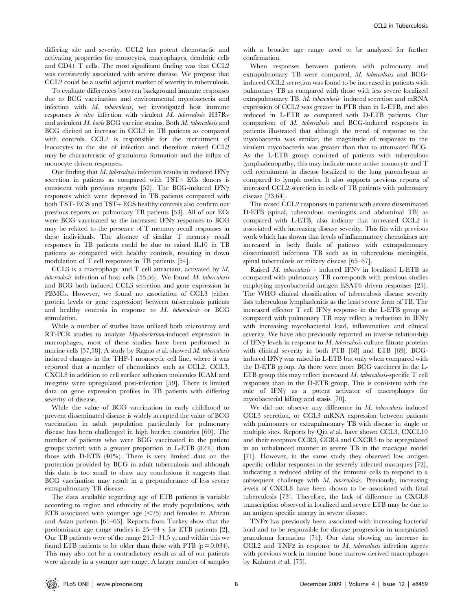differing site and severity. CCL2 has potent chemotactic and activating properties for monocytes, macrophages, dendritic cells and CD4+ T cells. The most significant finding was that CCL2 was consistently associated with severe disease. We propose that CCL2 could be a useful adjunct marker of severity in tuberculosis.

To evaluate differences between background immune responses due to BCG vaccination and environmental mycobacteria and infection with M. tuberculosis, we investigated host immune responses in vitro infection with virulent M. tuberculosis H37Rv and avirulent M. bovis BCG vaccine strains. Both M. tuberculosis and BCG elicited an increase in CCL2 in TB patients as compared with controls. CCL2 is responsible for the recruitment of leucocytes to the site of infection and therefore raised CCL2 may be characteristic of granuloma formation and the influx of monocyte driven responses.

Our finding that  $M$ . tuberculosis infection results in reduced IFN $\gamma$ secretion in patients as compared with TST+ ECs donors is consistent with previous reports [52]. The BCG-induced IFN $\gamma$ responses which were depressed in TB patients compared with both TST- ECS and TST+ ECS healthy controls also confirm our previous reports on pulmonary TB patients [53]. All of our ECs were BCG vaccinated so the increased IFN $\gamma$  responses to BCG may be related to the presence of T memory recall responses in these individuals. The absence of similar T memory recall responses in TB patients could be due to raised IL10 in TB patients as compared with healthy controls, resulting in down modulation of T cell responses in TB patients [54].

CCL3 is a macrophage and T cell attractant, activated by M. tuberculosis infection of host cells [55,56]. We found M. tuberculosis and BCG both induced CCL3 secretion and gene expression in PBMCs. However, we found no association of CCL3 (either protein levels or gene expression) between tuberculosis patients and healthy controls in response to M. tuberculosis or BCG stimulation.

While a number of studies have utilized both microarray and RT-PCR studies to analyze Mycobacterium-induced expression in macrophages, most of these studies have been performed in murine cells [57,58]. A study by Ragno et al. showed  $M$ . tuberculosis induced changes in the THP-1 monocytic cell line, where it was reported that a number of chemokines such as CCL2, CCL3, CXCL8 in addition to cell surface adhesion molecules ICAM and integrins were upregulated post-infection [59]. There is limited data on gene expression profiles in TB patients with differing severity of disease.

While the value of BCG vaccination in early childhood to prevent disseminated disease is widely accepted the value of BCG vaccination in adult population particularly for pulmonary disease has been challenged in high burden countries [60]. The number of patients who were BCG vaccinated in the patient groups varied; with a greater proportion in L-ETB (82%) than those with D-ETB (40%). There is very limited data on the protection provided by BCG in adult tuberculosis and although this data is too small to draw any conclusions it suggests that BCG vaccination may result in a preponderance of less severe extrapulmonary TB disease.

The data available regarding age of ETB patients is variable according to region and ethnicity of the study populations, with ETB associated with younger age  $\leq$  25) and females in African and Asian patients [61–63]. Reports from Turkey show that the predominant age range studies is 25–44 y for ETB patients [2]. Our TB patients were of the range 24.5–31.5 y, and within this we found ETB patients to be older than those with PTB ( $p = 0.034$ ). This may also not be a contradictory result as all of our patients were already in a younger age range. A larger number of samples

with a broader age range need to be analyzed for further confirmation.

When responses between patients with pulmonary and extrapulmonary TB were compared, M. tuberculosis and BCGinduced CCL2 secretion was found to be increased in patients with pulmonary TB as compared with those with less severe localized extrapulmonary TB. M. tuberculosis- induced secretion and mRNA expression of CCL2 was greater in PTB than in L-ETB, and also reduced in L-ETB as compared with D-ETB patients. Our comparison of M. tuberculosis and BCG-induced responses in patients illustrated that although the trend of response to the mycobacteria was similar, the magnitude of responses to the virulent mycobacteria was greater than that to attenuated BCG. As the L-ETB group consisted of patients with tuberculous lymphadenopathy, this may indicate more active monocyte and T cell recruitment in disease localized to the lung parenchyma as compared to lymph nodes. It also supports previous reports of increased CCL2 secretion in cells of TB patients with pulmonary disease [23,64].

The raised CCL2 responses in patients with severe disseminated D-ETB (spinal, tuberculous meningitis and abdominal TB) as compared with L-ETB, also indicate that increased CCL2 is associated with increasing disease severity. This fits with previous work which has shown that levels of inflammatory chemokines are increased in body fluids of patients with extrapulmonary disseminated infections TB such as in tuberculous meningitis, spinal tuberculosis or miliary disease [65–67].

Raised  $M$ . tuberculosis - induced IFN $\gamma$  in localized L-ETB as compared with pulmonary TB corresponds with previous studies employing mycobacterial antigen ESAT6 driven responses [25]. The WHO clinical classification of tuberculosis disease severity lists tuberculous lymphadenitis as the least severe form of TB. The increased effector  $T$  cell IFN $\gamma$  response in the L-ETB group as compared with pulmonary TB may reflect a reduction in  $IFN\gamma$ with increasing mycobacterial load, inflammation and clinical severity. We have also previously reported an inverse relationship of IFN $\gamma$  levels in response to M. tuberculosis culture filtrate proteins with clinical severity in both PTB [68] and ETB [69]. BCGinduced IFN $\gamma$  was raised in L-ETB but only when compared with the D-ETB group. As there were more BCG vaccinees in the L-ETB group this may reflect increased  $M$ . tuberculosis-specific  $T$  cell responses than in the D-ETB group. This is consistent with the role of IFN $\gamma$  as a potent activator of macrophages for mycobacterial killing and stasis [70].

We did not observe any difference in M. tuberculosis induced CCL3 secretion, or CCL3 mRNA expression between patients with pulmonary or extrapulmonary TB with disease in single or multiple sites. Reports by Qiu et al. have shown CCL3, CXCL10 and their receptors CCR3, CCR4 and CXCR3 to be upregulated in an unbalanced manner in severe TB in the macaque model [71]. However, in the same study they observed low antigen specific cellular responses in the severely infected macaques [72], indicating a reduced ability of the immune cells to respond to a subsequent challenge with M. tuberculosis. Previously, increasing levels of CXCL8 have been shown to be associated with fatal tuberculosis [73]. Therefore, the lack of difference in CXCL8 transcription observed in localized and severe ETB may be due to an antigen specific anergy in severe disease.

 $TNF\alpha$  has previously been associated with increasing bacterial load and to be responsible for disease progression in unregulated granuloma formation [74]. Our data showing an increase in CCL2 and TNF $\alpha$  in response to M. tuberculosis infection agrees with previous work in murine bone marrow derived macrophages by Kahnert et al. [75].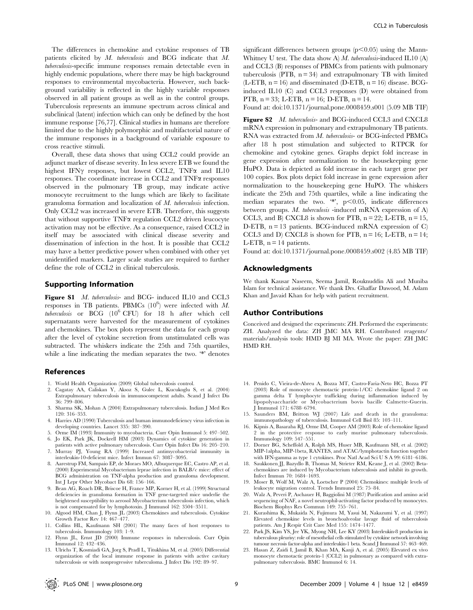The differences in chemokine and cytokine responses of TB patients elicited by M. tuberculosis and BCG indicate that M. tuberculosis-specific immune responses remain detectable even in highly endemic populations, where there may be high background responses to environmental mycobacteria. However, such background variability is reflected in the highly variable responses observed in all patient groups as well as in the control groups. Tuberculosis represents an immune spectrum across clinical and subclinical (latent) infection which can only be defined by the host immune response [76,77]. Clinical studies in humans are therefore limited due to the highly polymorphic and multifactorial nature of the immune responses in a background of variable exposure to cross reactive stimuli.

Overall, these data shows that using CCL2 could provide an adjunct marker of disease severity. In less severe ETB we found the highest IFN $\gamma$  responses, but lowest CCL2, TNF $\alpha$  and IL10 responses. The coordinate increase in CCL2 and  $TNF\alpha$  responses observed in the pulmonary TB group, may indicate active monocyte recruitment to the lungs which are likely to facilitate granuloma formation and localization of M. tuberculosis infection. Only CCL2 was increased in severe ETB. Therefore, this suggests that without supportive  $TNF\alpha$  regulation CCL2 driven leucocyte activation may not be effective. As a consequence, raised CCL2 in itself may be associated with clinical disease severity and dissemination of infection in the host. It is possible that CCL2 may have a better predictive power when combined with other yet unidentified markers. Larger scale studies are required to further define the role of CCL2 in clinical tuberculosis.

#### Supporting Information

Figure S1 *M. tuberculosis*- and BCG- induced IL10 and CCL3 responses in TB patients. PBMCs  $(10^6)$  were infected with M. tuberculosis or BCG  $(10^6$  CFU) for 18 h after which cell supernatants were harvested for the measurement of cytokines and chemokines. The box plots represent the data for each group after the level of cytokine secretion from unstimulated cells was subtracted. The whiskers indicate the 25th and 75th quartiles, while a line indicating the median separates the two. '\*' denotes

#### References

- 1. World Health Organization (2009) Global tuberculosis control.
- 2. Cagatay AA, Caliskan Y, Aksoz S, Gulec L, Kucukoglu S, et al. (2004) Extrapulmonary tuberculosis in immunocompetent adults. Scand J Infect Dis 36: 799–806.
- 3. Sharma SK, Mohan A (2004) Extrapulmonary tuberculosis. Indian J Med Res 120: 316–353.
- 4. Harries AD (1990) Tuberculosis and human immunodeficiency virus infection in developing countries. Lancet 335: 387–390.
- 5. Orme IM (1993) Immunity to mycobacteria. Curr Opin Immunol 5: 497–502. 6. Jo EK, Park JK, Dockrell HM (2003) Dynamics of cytokine generation in
- patients with active pulmonary tuberculosis. Curr Opin Infect Dis 16: 205–210. 7. Murray PJ, Young RA (1999) Increased antimycobacterial immunity in interleukin-10-deficient mice. Infect Immun 67: 3087–3095.
- 8. Aarestrup FM, Sampaio EP, de Moraes MO, Albuquerque EC, Castro AP, et al. (2000) Experimental Mycobacterium leprae infection in BALB/c mice: effect of BCG administration on TNF-alpha production and granuloma development. Int J Lepr Other Mycobact Dis 68: 156–166.
- 9. Bean AG, Roach DR, Briscoe H, France MP, Korner H, et al. (1999) Structural deficiencies in granuloma formation in TNF gene-targeted mice underlie the heightened susceptibility to aerosol Mycobacterium tuberculosis infection, which is not compensated for by lymphotoxin. J Immunol 162: 3504–3511.
- 10. Algood HM, Chan J, Flynn JL (2003) Chemokines and tuberculosis. Cytokine Growth Factor Rev 14: 467–477.
- 11. Collins HL, Kaufmann SH (2001) The many faces of host responses to tuberculosis. Immunology 103: 1–9.
- 12. Flynn JL, Ernst JD (2000) Immune responses in tuberculosis. Curr Opin Immunol 12: 432–436.
- 13. Ulrichs T, Kosmiadi GA, Jorg S, Pradl L, Titukhina M, et al. (2005) Differential organization of the local immune response in patients with active cavitary tuberculosis or with nonprogressive tuberculoma. J Infect Dis 192: 89–97.

significant differences between groups  $(p<0.05)$  using the Mann-Whitney U test. The data show A)  $M$ . tuberculosis-induced IL10 (A) and CCL3 (B) responses of PBMCs from patients with pulmonary tuberculosis (PTB,  $n = 34$ ) and extrapulmonary TB with limited  $(L-ETB, n = 16)$  and disseminated (D-ETB,  $n = 16$ ) disease. BCGinduced IL10 (C) and CCL3 responses (D) were obtained from PTB,  $n = 33$ ; L-ETB,  $n = 16$ ; D-ETB,  $n = 14$ .

Found at: doi:10.1371/journal.pone.0008459.s001 (5.09 MB TIF)

Figure S2 *M. tuberculosis*- and BCG-induced CCL3 and CXCL8 mRNA expression in pulmonary and extrapulmonary TB patients. RNA was extracted from M. tuberculosis- or BCG-infected PBMCs after 18 h post stimulation and subjected to RTPCR for chemokine and cytokine genes. Graphs depict fold increase in gene expression after normalization to the housekeeping gene HuPO. Data is depicted as fold increase in each target gene per 100 copies. Box plots depict fold increase in gene expression after normalization to the housekeeping gene HuPO. The whiskers indicate the 25th and 75th quartiles, while a line indicating the median separates the two.  $4$ , p $< 0.05$ , indicate differences between groups. M. tuberculosis -induced mRNA expression of A) CCL3, and B) CXCL8 is shown for PTB,  $n = 22$ ; L-ETB,  $n = 15$ , D-ETB,  $n = 13$  patients. BCG-induced mRNA expression of C) CCL3 and D) CXCL8 is shown for PTB,  $n = 16$ ; L-ETB,  $n = 14$ ; L-ETB,  $n = 14$  patients.

Found at: doi:10.1371/journal.pone.0008459.s002 (4.85 MB TIF)

#### Acknowledgments

We thank Kausar Naseem, Seema Jamil, Rouknuddin Ali and Muniba Islam for technical assistance. We thank Drs. Ghaffar Dawood, M. Aslam Khan and Javaid Khan for help with patient recruitment.

#### Author Contributions

Conceived and designed the experiments: ZH. Performed the experiments: ZH. Analyzed the data: ZH JMC MA RH. Contributed reagents/ materials/analysis tools: HMD BJ MI MA. Wrote the paper: ZH JMC HMD RH.

- 14. Penido C, Vieira-de-Abreu A, Bozza MT, Castro-Faria-Neto HC, Bozza PT (2003) Role of monocyte chemotactic protein-1/CC chemokine ligand 2 on gamma delta T lymphocyte trafficking during inflammation induced by lipopolysaccharide or Mycobacterium bovis bacille Calmette-Guerin. J Immunol 171: 6788–6794.
- 15. Saunders BM, Britton WJ (2007) Life and death in the granuloma: immunopathology of tuberculosis. Immunol Cell Biol 85: 103–111.
- 16. Kipnis A, Basaraba RJ, Orme IM, Cooper AM (2003) Role of chemokine ligand 2 in the protective response to early murine pulmonary tuberculosis. Immunology 109: 547–551.
- 17. Dorner BG, Scheffold A, Rolph MS, Huser MB, Kaufmann SH, et al. (2002) MIP-1alpha, MIP-1beta, RANTES, and ATAC/lymphotactin function together with IFN-gamma as type 1 cytokines. Proc Natl Acad Sci U S A 99: 6181–6186.
- 18. Saukkonen JJ, Bazydlo B, Thomas M, Strieter RM, Keane J, et al. (2002) Betachemokines are induced by Mycobacterium tuberculosis and inhibit its growth. Infect Immun 70: 1684–1693.
- 19. Moser B, Wolf M, Walz A, Loetscher P (2004) Chemokines: multiple levels of leukocyte migration control. Trends Immunol 25: 75–84.
- 20. Walz A, Peveri P, Aschauer H, Baggiolini M (1987) Purification and amino acid sequencing of NAF, a novel neutrophil-activating factor produced by monocytes. Biochem Biophys Res Commun 149: 755–761.
- 21. Kurashima K, Mukaida N, Fujimura M, Yasui M, Nakazumi Y, et al. (1997) Elevated chemokine levels in bronchoalveolar lavage fluid of tuberculosis patients. Am J Respir Crit Care Med 155: 1474–1477.
- 22. Park JS, Kim YS, Jee YK, Myong NH, Lee KY (2003) Interleukin-8 production in tuberculous pleurisy: role of mesothelial cells stimulated by cytokine network involving tumour necrosis factor-alpha and interleukin-1 beta. Scand J Immunol 57: 463–469.
- 23. Hasan Z, Zaidi I, Jamil B, Khan MA, Kanji A, et al. (2005) Elevated ex vivo monocyte chemotactic protein-1 (CCL2) in pulmonary as compared with extrapulmonary tuberculosis. BMC Immunol 6: 14.